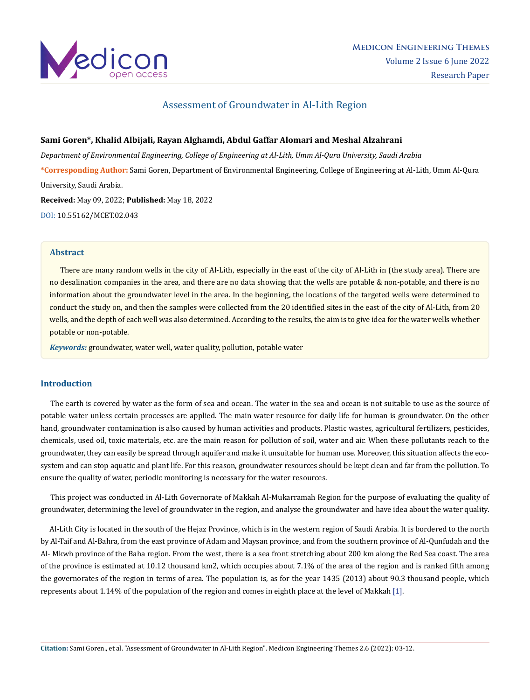

# Assessment of Groundwater in Al-Lith Region

## **Sami Goren\*, Khalid Albijali, Rayan Alghamdi, Abdul Gaffar Alomari and Meshal Alzahrani**

*Department of Environmental Engineering, College of Engineering at Al-Lith, Umm Al-Qura University, Saudi Arabia* **\*Corresponding Author:** Sami Goren, Department of Environmental Engineering, College of Engineering at Al-Lith, Umm Al-Qura University, Saudi Arabia.

**Received:** May 09, 2022; **Published:** May 18, 2022 [DOI: 10.55162/MCET.02.043](https://doi.org/10.55162/MCET.02.043)

### **Abstract**

 There are many random wells in the city of Al-Lith, especially in the east of the city of Al-Lith in (the study area). There are no desalination companies in the area, and there are no data showing that the wells are potable & non-potable, and there is no information about the groundwater level in the area. In the beginning, the locations of the targeted wells were determined to conduct the study on, and then the samples were collected from the 20 identified sites in the east of the city of Al-Lith, from 20 wells, and the depth of each well was also determined. According to the results, the aim is to give idea for the water wells whether potable or non-potable.

*Keywords:* groundwater, water well, water quality, pollution, potable water

## **Introduction**

 The earth is covered by water as the form of sea and ocean. The water in the sea and ocean is not suitable to use as the source of potable water unless certain processes are applied. The main water resource for daily life for human is groundwater. On the other hand, groundwater contamination is also caused by human activities and products. Plastic wastes, agricultural fertilizers, pesticides, chemicals, used oil, toxic materials, etc. are the main reason for pollution of soil, water and air. When these pollutants reach to the groundwater, they can easily be spread through aquifer and make it unsuitable for human use. Moreover, this situation affects the ecosystem and can stop aquatic and plant life. For this reason, groundwater resources should be kept clean and far from the pollution. To ensure the quality of water, periodic monitoring is necessary for the water resources.

 This project was conducted in Al-Lith Governorate of Makkah Al-Mukarramah Region for the purpose of evaluating the quality of groundwater, determining the level of groundwater in the region, and analyse the groundwater and have idea about the water quality.

 Al-Lith City is located in the south of the Hejaz Province, which is in the western region of Saudi Arabia. It is bordered to the north by Al-Taif and Al-Bahra, from the east province of Adam and Maysan province, and from the southern province of Al-Qunfudah and the Al- Mkwh province of the Baha region. From the west, there is a sea front stretching about 200 km along the Red Sea coast. The area of the province is estimated at 10.12 thousand km2, which occupies about 7.1% of the area of the region and is ranked fifth among the governorates of the region in terms of area. The population is, as for the year 1435 (2013) about 90.3 thousand people, which represents about 1.14% of the population of the region and comes in eighth place at the level of Makkah [1].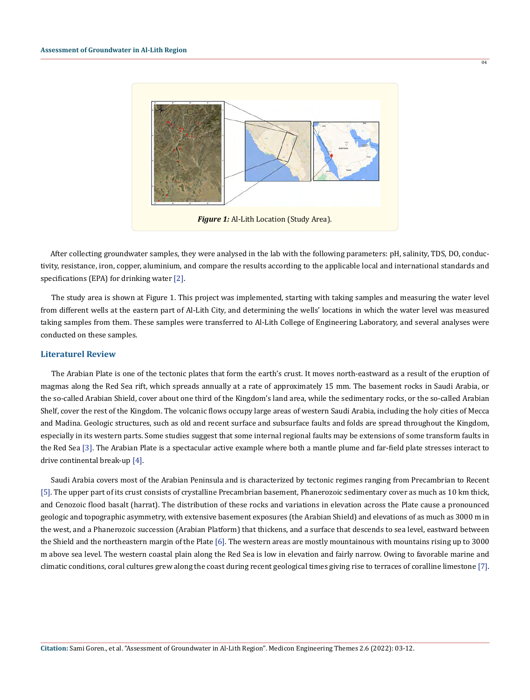

 $\overline{04}$ 

 After collecting groundwater samples, they were analysed in the lab with the following parameters: pH, salinity, TDS, DO, conductivity, resistance, iron, copper, aluminium, and compare the results according to the applicable local and international standards and specifications (EPA) for drinking water [2].

 The study area is shown at Figure 1. This project was implemented, starting with taking samples and measuring the water level from different wells at the eastern part of Al-Lith City, and determining the wells' locations in which the water level was measured taking samples from them. These samples were transferred to Al-Lith College of Engineering Laboratory, and several analyses were conducted on these samples.

#### **Literaturel Review**

 The Arabian Plate is one of the tectonic plates that form the earth's crust. It moves north-eastward as a result of the eruption of magmas along the Red Sea rift, which spreads annually at a rate of approximately 15 mm. The basement rocks in Saudi Arabia, or the so-called Arabian Shield, cover about one third of the Kingdom's land area, while the sedimentary rocks, or the so-called Arabian Shelf, cover the rest of the Kingdom. The volcanic flows occupy large areas of western Saudi Arabia, including the holy cities of Mecca and Madina. Geologic structures, such as old and recent surface and subsurface faults and folds are spread throughout the Kingdom, especially in its western parts. Some studies suggest that some internal regional faults may be extensions of some transform faults in the Red Sea [3]. The Arabian Plate is a spectacular active example where both a mantle plume and far-field plate stresses interact to drive continental break-up [4].

 Saudi Arabia covers most of the Arabian Peninsula and is characterized by tectonic regimes ranging from Precambrian to Recent [5]. The upper part of its crust consists of crystalline Precambrian basement, Phanerozoic sedimentary cover as much as 10 km thick, and Cenozoic flood basalt (harrat). The distribution of these rocks and variations in elevation across the Plate cause a pronounced geologic and topographic asymmetry, with extensive basement exposures (the Arabian Shield) and elevations of as much as 3000 m in the west, and a Phanerozoic succession (Arabian Platform) that thickens, and a surface that descends to sea level, eastward between the Shield and the northeastern margin of the Plate [6]. The western areas are mostly mountainous with mountains rising up to 3000 m above sea level. The western coastal plain along the Red Sea is low in elevation and fairly narrow. Owing to favorable marine and climatic conditions, coral cultures grew along the coast during recent geological times giving rise to terraces of coralline limestone [7].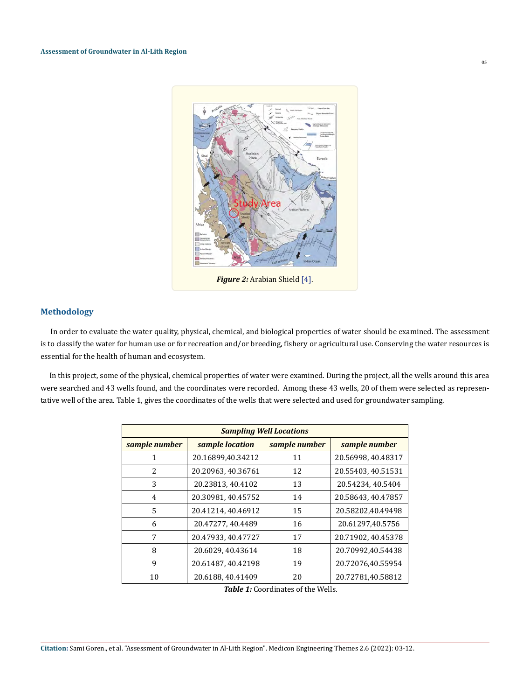

 $\overline{05}$ 

### **Methodology**

 In order to evaluate the water quality, physical, chemical, and biological properties of water should be examined. The assessment is to classify the water for human use or for recreation and/or breeding, fishery or agricultural use. Conserving the water resources is essential for the health of human and ecosystem.

 In this project, some of the physical, chemical properties of water were examined. During the project, all the wells around this area were searched and 43 wells found, and the coordinates were recorded. Among these 43 wells, 20 of them were selected as representative well of the area. Table 1, gives the coordinates of the wells that were selected and used for groundwater sampling.

| <b>Sampling Well Locations</b> |                    |               |                    |  |
|--------------------------------|--------------------|---------------|--------------------|--|
| sample number                  | sample location    | sample number | sample number      |  |
| 1                              | 20.16899,40.34212  | 11            | 20.56998, 40.48317 |  |
| 2                              | 20.20963, 40.36761 | 12            | 20.55403, 40.51531 |  |
| 3                              | 20.23813, 40.4102  | 13            | 20.54234, 40.5404  |  |
| 4                              | 20.30981, 40.45752 | 14            | 20.58643, 40.47857 |  |
| 5.                             | 20.41214, 40.46912 | 15            | 20.58202,40.49498  |  |
| 6                              | 20.47277, 40.4489  | 16            | 20.61297,40.5756   |  |
| 7                              | 20.47933, 40.47727 | 17            | 20.71902, 40.45378 |  |
| 8                              | 20.6029, 40.43614  | 18            | 20.70992,40.54438  |  |
| 9                              | 20.61487, 40.42198 | 19            | 20.72076,40.55954  |  |
| 10                             | 20.6188, 40.41409  | 20            | 20.72781,40.58812  |  |

*Table 1:* Coordinates of the Wells.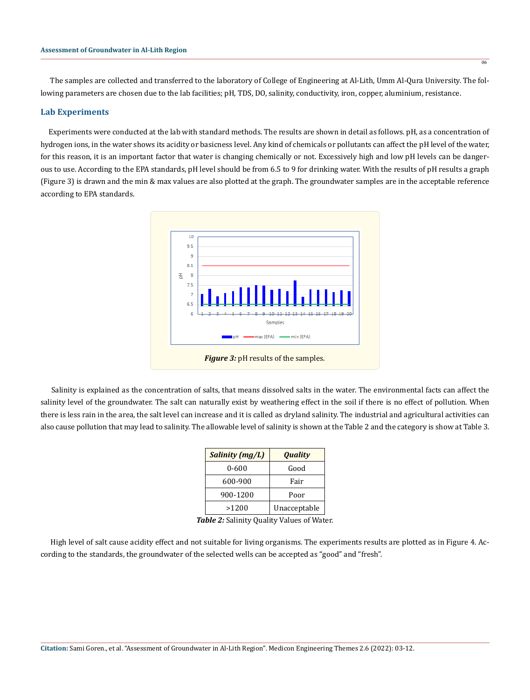The samples are collected and transferred to the laboratory of College of Engineering at Al-Lith, Umm Al-Qura University. The following parameters are chosen due to the lab facilities; pH, TDS, DO, salinity, conductivity, iron, copper, aluminium, resistance.

#### **Lab Experiments**

 Experiments were conducted at the lab with standard methods. The results are shown in detail as follows. pH, as a concentration of hydrogen ions, in the water shows its acidity or basicness level. Any kind of chemicals or pollutants can affect the pH level of the water, for this reason, it is an important factor that water is changing chemically or not. Excessively high and low pH levels can be dangerous to use. According to the EPA standards, pH level should be from 6.5 to 9 for drinking water. With the results of pH results a graph (Figure 3) is drawn and the min & max values are also plotted at the graph. The groundwater samples are in the acceptable reference according to EPA standards.



 Salinity is explained as the concentration of salts, that means dissolved salts in the water. The environmental facts can affect the salinity level of the groundwater. The salt can naturally exist by weathering effect in the soil if there is no effect of pollution. When there is less rain in the area, the salt level can increase and it is called as dryland salinity. The industrial and agricultural activities can also cause pollution that may lead to salinity. The allowable level of salinity is shown at the Table 2 and the category is show at Table 3.

| <b>Salinity (mg/L)</b> | <b>Quality</b> |  |
|------------------------|----------------|--|
| 0-600                  | Good           |  |
| 600-900                | Fair           |  |
| 900-1200               | Poor           |  |
| >1200                  | Unacceptable   |  |

*Table 2:* Salinity Quality Values of Water.

 High level of salt cause acidity effect and not suitable for living organisms. The experiments results are plotted as in Figure 4. According to the standards, the groundwater of the selected wells can be accepted as "good" and "fresh".

 $\overline{06}$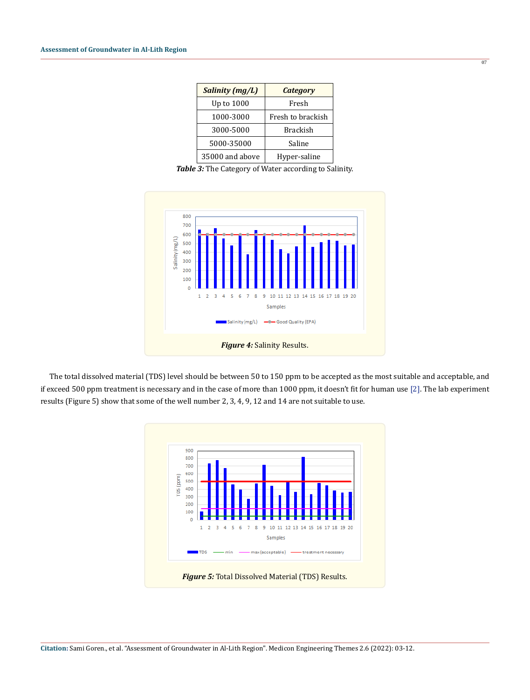| Salinity (mg/L) | <b>Category</b>   |  |
|-----------------|-------------------|--|
| Up to 1000      | Fresh             |  |
| 1000-3000       | Fresh to brackish |  |
| 3000-5000       | <b>Brackish</b>   |  |
| 5000-35000      | Saline            |  |
| 35000 and above | Hyper-saline      |  |

 $\overline{07}$ 

*Table 3:* The Category of Water according to Salinity.



 The total dissolved material (TDS) level should be between 50 to 150 ppm to be accepted as the most suitable and acceptable, and if exceed 500 ppm treatment is necessary and in the case of more than 1000 ppm, it doesn't fit for human use [2]. The lab experiment results (Figure 5) show that some of the well number 2, 3, 4, 9, 12 and 14 are not suitable to use.

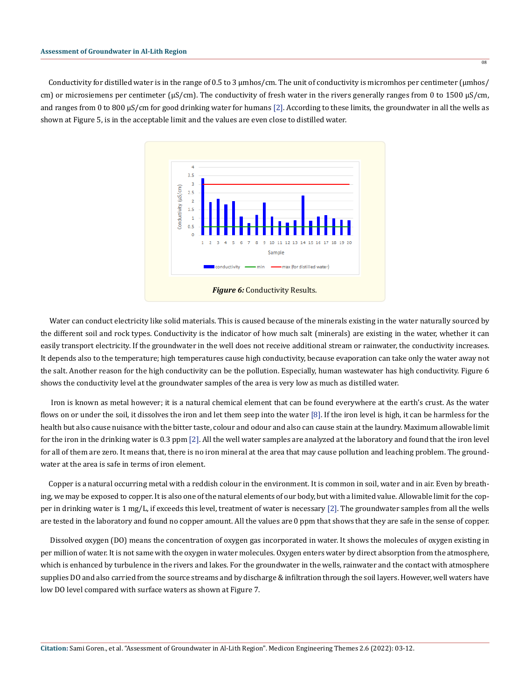Conductivity for distilled water is in the range of 0.5 to 3  $\mu$ mhos/cm. The unit of conductivity is micromhos per centimeter ( $\mu$ mhos/ cm) or microsiemens per centimeter ( $\mu$ S/cm). The conductivity of fresh water in the rivers generally ranges from 0 to 1500  $\mu$ S/cm, and ranges from 0 to 800  $\mu$ S/cm for good drinking water for humans [2]. According to these limits, the groundwater in all the wells as shown at Figure 5, is in the acceptable limit and the values are even close to distilled water.



 Water can conduct electricity like solid materials. This is caused because of the minerals existing in the water naturally sourced by the different soil and rock types. Conductivity is the indicator of how much salt (minerals) are existing in the water, whether it can easily transport electricity. If the groundwater in the well does not receive additional stream or rainwater, the conductivity increases. It depends also to the temperature; high temperatures cause high conductivity, because evaporation can take only the water away not the salt. Another reason for the high conductivity can be the pollution. Especially, human wastewater has high conductivity. Figure 6 shows the conductivity level at the groundwater samples of the area is very low as much as distilled water.

 Iron is known as metal however; it is a natural chemical element that can be found everywhere at the earth's crust. As the water flows on or under the soil, it dissolves the iron and let them seep into the water [8]. If the iron level is high, it can be harmless for the health but also cause nuisance with the bitter taste, colour and odour and also can cause stain at the laundry. Maximum allowable limit for the iron in the drinking water is 0.3 ppm [2]. All the well water samples are analyzed at the laboratory and found that the iron level for all of them are zero. It means that, there is no iron mineral at the area that may cause pollution and leaching problem. The groundwater at the area is safe in terms of iron element.

 Copper is a natural occurring metal with a reddish colour in the environment. It is common in soil, water and in air. Even by breathing, we may be exposed to copper. It is also one of the natural elements of our body, but with a limited value. Allowable limit for the copper in drinking water is 1 mg/L, if exceeds this level, treatment of water is necessary [2]. The groundwater samples from all the wells are tested in the laboratory and found no copper amount. All the values are 0 ppm that shows that they are safe in the sense of copper.

 Dissolved oxygen (DO) means the concentration of oxygen gas incorporated in water. It shows the molecules of oxygen existing in per million of water. It is not same with the oxygen in water molecules. Oxygen enters water by direct absorption from the atmosphere, which is enhanced by turbulence in the rivers and lakes. For the groundwater in the wells, rainwater and the contact with atmosphere supplies DO and also carried from the source streams and by discharge & infiltration through the soil layers. However, well waters have low DO level compared with surface waters as shown at Figure 7.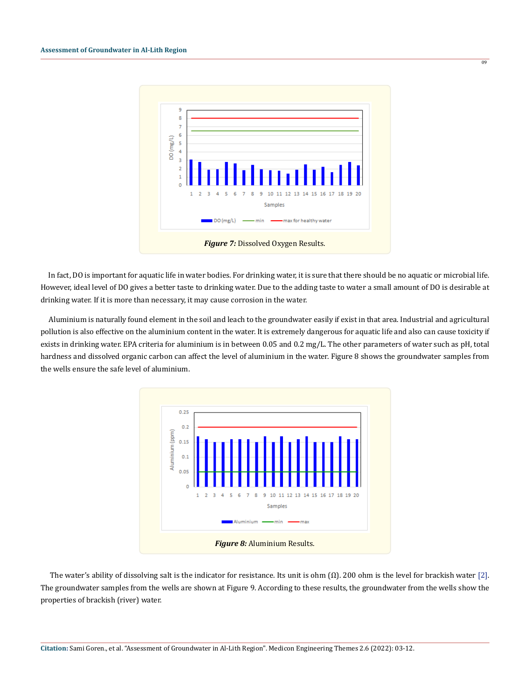

 $\overline{09}$ 

 In fact, DO is important for aquatic life in water bodies. For drinking water, it is sure that there should be no aquatic or microbial life. However, ideal level of DO gives a better taste to drinking water. Due to the adding taste to water a small amount of DO is desirable at drinking water. If it is more than necessary, it may cause corrosion in the water.

 Aluminium is naturally found element in the soil and leach to the groundwater easily if exist in that area. Industrial and agricultural pollution is also effective on the aluminium content in the water. It is extremely dangerous for aquatic life and also can cause toxicity if exists in drinking water. EPA criteria for aluminium is in between 0.05 and 0.2 mg/L. The other parameters of water such as pH, total hardness and dissolved organic carbon can affect the level of aluminium in the water. Figure 8 shows the groundwater samples from the wells ensure the safe level of aluminium.



The water's ability of dissolving salt is the indicator for resistance. Its unit is ohm  $(\Omega)$ . 200 ohm is the level for brackish water [2]. The groundwater samples from the wells are shown at Figure 9. According to these results, the groundwater from the wells show the properties of brackish (river) water.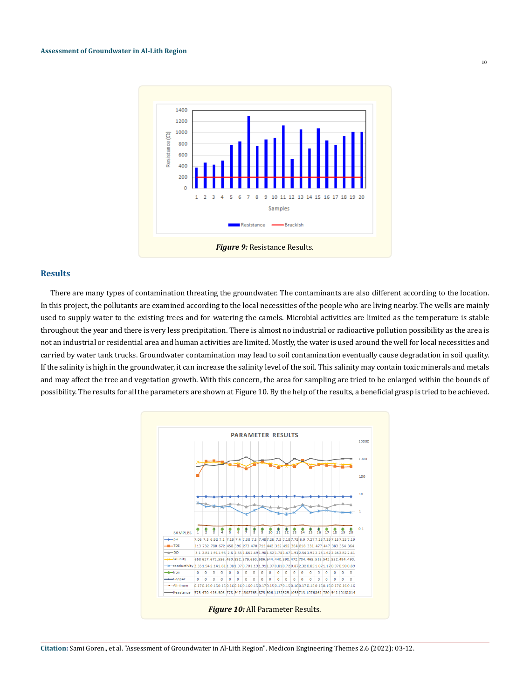

#### **Results**

 There are many types of contamination threating the groundwater. The contaminants are also different according to the location. In this project, the pollutants are examined according to the local necessities of the people who are living nearby. The wells are mainly used to supply water to the existing trees and for watering the camels. Microbial activities are limited as the temperature is stable throughout the year and there is very less precipitation. There is almost no industrial or radioactive pollution possibility as the area is not an industrial or residential area and human activities are limited. Mostly, the water is used around the well for local necessities and carried by water tank trucks. Groundwater contamination may lead to soil contamination eventually cause degradation in soil quality. If the salinity is high in the groundwater, it can increase the salinity level of the soil. This salinity may contain toxic minerals and metals and may affect the tree and vegetation growth. With this concern, the area for sampling are tried to be enlarged within the bounds of possibility. The results for all the parameters are shown at Figure 10. By the help of the results, a beneficial grasp is tried to be achieved.



**Citation:** Sami Goren., et al. "Assessment of Groundwater in Al-Lith Region". Medicon Engineering Themes 2.6 (2022): 03-12.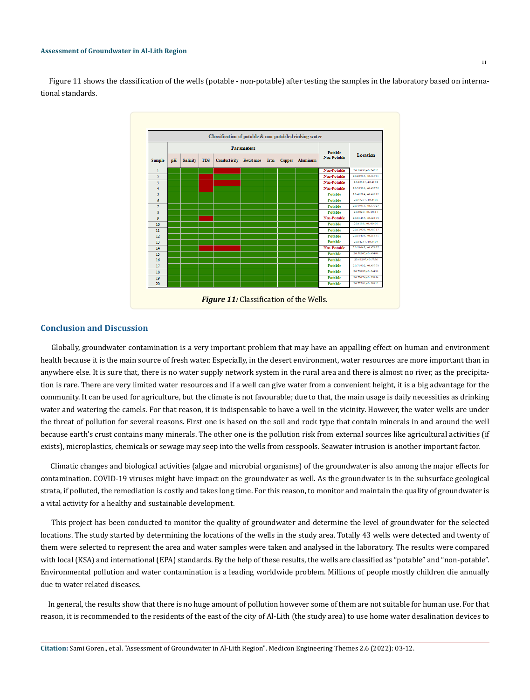Figure 11 shows the classification of the wells (potable - non-potable) after testing the samples in the laboratory based on international standards.



## **Conclusion and Discussion**

 Globally, groundwater contamination is a very important problem that may have an appalling effect on human and environment health because it is the main source of fresh water. Especially, in the desert environment, water resources are more important than in anywhere else. It is sure that, there is no water supply network system in the rural area and there is almost no river, as the precipitation is rare. There are very limited water resources and if a well can give water from a convenient height, it is a big advantage for the community. It can be used for agriculture, but the climate is not favourable; due to that, the main usage is daily necessities as drinking water and watering the camels. For that reason, it is indispensable to have a well in the vicinity. However, the water wells are under the threat of pollution for several reasons. First one is based on the soil and rock type that contain minerals in and around the well because earth's crust contains many minerals. The other one is the pollution risk from external sources like agricultural activities (if exists), microplastics, chemicals or sewage may seep into the wells from cesspools. Seawater intrusion is another important factor.

 Climatic changes and biological activities (algae and microbial organisms) of the groundwater is also among the major effects for contamination. COVID-19 viruses might have impact on the groundwater as well. As the groundwater is in the subsurface geological strata, if polluted, the remediation is costly and takes long time. For this reason, to monitor and maintain the quality of groundwater is a vital activity for a healthy and sustainable development.

 This project has been conducted to monitor the quality of groundwater and determine the level of groundwater for the selected locations. The study started by determining the locations of the wells in the study area. Totally 43 wells were detected and twenty of them were selected to represent the area and water samples were taken and analysed in the laboratory. The results were compared with local (KSA) and international (EPA) standards. By the help of these results, the wells are classified as "potable" and "non-potable". Environmental pollution and water contamination is a leading worldwide problem. Millions of people mostly children die annually due to water related diseases.

 In general, the results show that there is no huge amount of pollution however some of them are not suitable for human use. For that reason, it is recommended to the residents of the east of the city of Al-Lith (the study area) to use home water desalination devices to